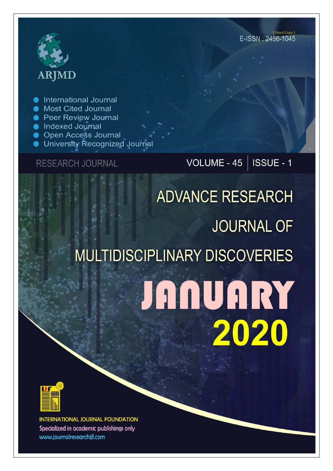## **ARJMD**

International Journal

- Most Cited Journal
- Peer Review Journal
- Indexed Journal
- **Open Access Journal**
- University Recognized Journal

### **RESEARCH JOURNAL**

## VOLUME - 45 | ISSUE - 1

# **ADVANCE RESEARCH JOURNAL OF MULTIDISCIPLINARY DISCOVERIES JANUARY** 2020



**INTERNATIONAL JOURNAL FOUNDATION** Specialized in academic publishings only www.journalresearchijf.com

(Hard Copy) E-ISSN: 2456-1045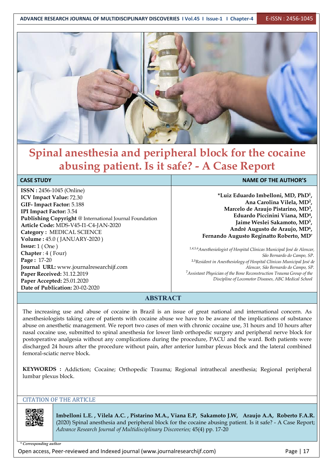

## **Spinal anesthesia and peripheral block for the cocaine abusing patient. Is it safe? - A Case Report**

#### **CASE STUDY NAME OF THE AUTHOR'S**

**ISSN :** 2456-1045 (Online) **ICV Impact Value:** 72.30 **GIF- Impact Factor:** 5.188 **IPI Impact Factor:** 3.54 **Publishing Copyright** @ International Journal Foundation **Article Code:** MDS-V45-I1-C4-JAN-2020 **Category :** MEDICAL SCIENCE **Volume :** 45.0 (JANUARY-2020 ) **Issue:** 1 ( One ) **Chapter** : 4 ( Four) **Page :** 17-20 **Journal URL:** www.journalresearchijf.com **Paper Received:** 31.12.2019 **Paper Accepted:** 25.01.2020 **Date of Publication:** 20-02-2020

**\*Luiz Eduardo Imbelloni, MD, PhD<sup>1</sup> , Ana Carolina Vilela, MD<sup>2</sup> , Marcelo de Araujo Pistarino, MD<sup>3</sup> , Eduardo Piccinini Viana, MD<sup>4</sup> , Jaime Weslei Sakamoto, MD<sup>5</sup> , André Augusto de Araujo, MD<sup>6</sup> , Fernando Augusto Reginatto Roberto, MD<sup>7</sup>**

*1,4,5,6Anesthesiologist of Hospital Clínicas Municipal José de Alencar, São Bernardo do Campo, SP.* 2,3*Resident in Anesthesiology of Hospital Clínicas Municipal José de Alencar, São Bernardo do Campo, SP.* <sup>7</sup>*Assistant Physician of the Bone Reconstruction Trauma Group of the Discipline of Locomotor Diseases, ABC Medical School*

#### **ABSTRACT**

The increasing use and abuse of cocaine in Brazil is an issue of great national and international concern. As anesthesiologists taking care of patients with cocaine abuse we have to be aware of the implications of substance abuse on anesthetic management. We report two cases of men with chronic cocaine use, 31 hours and 10 hours after nasal cocaine use, submitted tospinal anesthesia for lower limb orthopedic surgery and peripheral nerve block for postoperative analgesia without any complications during the procedure, PACU and the ward. Both patients were discharged 24 hours after the procedure without pain, after anterior lumbar plexus block and the lateral combined femoral-sciatic nerve block.

**KEYWORDS :** Addiction; Cocaine; Orthopedic Trauma; Regional intrathecal anesthesia; Regional peripheral lumbar plexus block.

#### CITATION OF THE ARTICLE

**Imbelloni L.E. , Vilela A.C. , Pistarino M.A., Viana E.P, Sakamoto J.W, Araujo A.A, Roberto F.A.R.** (2020) Spinal anesthesia and peripheral block for the cocaine abusing patient. Is it safe? - A Case Report; *Advance Research Journal ofMultidisciplinary Discoveries;* 45(4) pp. 17-20

*\* Corresponding author*

Open access, Peer-reviewed and Indexed journal (www.journalresearchijf.com) Page |17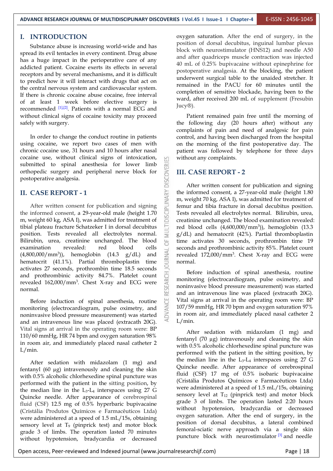#### **I. INTRODUCTION**

Substance abuse is increasing world-wide and has spread its evil tentacles in every continent. Drug abuse has a huge impact in the perioperative care of any addicted patient. Cocaine exerts its effects in several receptors and by several mechanisms, and it is difficult to predict how it will interact with drugs that act on the central nervous system and cardiovascular system. If there is chronic cocaine abuse cocaine, free interval of at least 1 week before elective surgery is recommended  $[1]$ ,  $[2]$ . Patients with a normal ECG and  $[1]$   $[1]$ without clinical signs of cocaine toxicity may proceed safely with surgery.

In order to change the conduct routine in patients using cocaine, we report two cases of men with chronic cocaine use, 31 hours and 10 hours after nasal cocaine use, without clinical signs of intoxication, orthopedic surgery and peripheral nerve block for postoperative analgesia.

#### **II. CASE REPORT - 1**

submitted to spinal anesthesia for lower limb<br>orthopedic surgery and peripheral nerve block for<br>postoperative analgesia.<br>II. CASE REPORT - 1<br>After written consent for publication and signing<br>the informed consent, a 29-yea After written consent for publication and signing the informed consent, a 29-year-old male (height 1.70) m, weight 60 kg, ASA I), was admitted for treatment of tibial plateau fracture Schatzeker I in dorsal decubitus position. Tests revealed all electrolytes normal. Bilirubin, urea, creatinine unchanged. The blood examination revealed: red blood cells<br>(4,800,000/mm<sup>3</sup>)), hemoglobin (14.3 g/dL) and  $\geq$ <br>hemotogrit (41.1%). Bortial thrombonlastin time  $(4,800,000/\text{mm}^3)$ , hemoglobin  $(14.3 \text{ g}/dL)$  and hematocrit (41.1%). Partial thromboplastin time activates 27 seconds, prothrombin time 18.5 seconds and prothrombinic activity 84.7%. Platelet count revealed  $162,000/\text{mm}^3$ . Chest X-ray and ECG were normal.

Before induction of spinal anesthesia, routine monitoring (electrocardiogram, pulse oximetry, and noninvasive blood pressure measurement) was started and an intravenous line was placed (extracath 20G). Vital signs at arrival in the operating room were: BP 110/60 mmHg, HR 74 bpm and oxygen saturation 98% in room air, and immediately placed nasal catheter 2 L/min.

After sedation with midazolam (1 mg) and fentanyl (60 µg) intravenously and cleaning the skin with 0.5% alcoholic chlorhexedine spinal puncture was performed with the patient in the sitting position, by the median line in the  $L_3-L_4$  interspaces using 27 G Quincke needle. After appearance of cerebrospinal fluid (CSF) 12.5 mg of 0.5% hyperbaric bupivacaine (Cristália Produtos Químicos e Farmacêuticos Ltda) were administered at a speed of 1.5 mL/15s, obtaining sensory level at T<sub>9</sub> (pinprick test) and motor block grade 3 of limbs.The operation lasted 70 minutes without hypotension, bradycardia or decreased

oxygen saturation. After the end of surgery, in the position of dorsal decubitus, inguinal lumbar plexus block with neurostimulator (HNS12) and needle A50 and after quadriceps muscle contraction was injected 40 mL of 0.25% bupivacaine without epinephrine for postoperative analgesia. At the blocking, the patient underwent surgical table to the unaided stretcher. It remained in the PACU for 60 minutes until the completion of sensitive blockade, having been to the ward, after received 200 mL of supplement (Fresubin Jucy®).

Patient remained pain free until the morning of the following day (20 hours after) without any complaints of pain and need of analgesic for pain control, and having been discharged from the hospital on the morning of the first postoperative day. The patient was followed by telephone for three days without any complaints.

#### **III. CASE REPORT - 2**

After written consent for publication and signing the informed consent, a 27-year-old male (height 1.80 m, weight 70 kg, ASA I), was admitted for treatment of femur and tibia fracture in dorsal decubitus position. Tests revealed all electrolytes normal. Bilirubin, urea, creatinine unchanged. The blood examination revealed: red blood cells  $(4,600,000/\text{mm}^3)$ , hemoglobin  $(13.3)$  $g/dL$ ) and hematocrit (42%). Partial thromboplastin time activates 30 seconds, prothrombin time 19 seconds and prothrombinic activity 85%. Platelet count revealed  $172,000/\text{mm}^3$ . Chest X-ray and ECG were normal.

Before induction of spinal anesthesia, routine monitoring (electrocardiogram, pulse oximetry, and noninvasive blood pressure measurement) was started and an intravenous line was placed (extracath 20G). Vital signs at arrival in the operating room were: BP 107/59 mmHg, HR 70 bpm and oxygen saturation 97% in room air, and immediately placed nasal catheter 2 L/min.

After sedation with midazolam (1 mg) and fentanyl (70 µg) intravenously and cleaning the skin with 0.5% alcoholic chlorhexedine spinal puncture was performed with the patient in the sitting position, by the median line in the  $L_3$ - $L_4$  interspaces using 27 G Quincke needle. After appearance of cerebrospinal fluid (CSF) 17 mg of 0.5% isobaric bupivacaine (Cristália Produtos Químicos e Farmacêuticos Ltda) were administered at a speed of  $1.5$  mL/ $15s$ , obtaining sensory level at  $T_{12}$  (pinprick test) and motor block grade 3 of limbs. The operation lasted 2:20 hours without hypotension, bradycardia or decreased oxygen saturation. After the end of surgery, in the position of dorsal decubitus, a lateral combined femoral-sciatic nerve approach via a single skin puncture block with neurostimulator<sup>[3]</sup> and needle

Open access, Peer-reviewed and Indexed journal (www.journalresearchijf.com) Page |18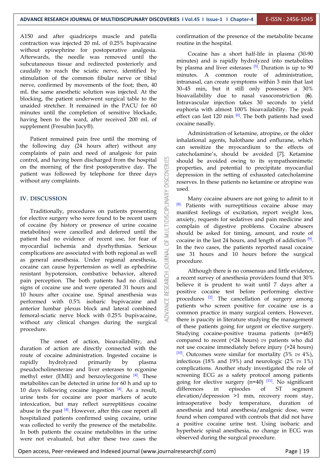A150 and after quadriceps muscle and patella contraction was injected  $20$  mL of  $0.25\%$  bupivacaine without epinephrine for postoperative analgesia. Afterwards, the needle was removed until the subcutaneous tissue and redirected posteriorly and caudally to reach the sciatic nerve, identified by stimulation of the common fibular nerve or tibial nerve, confirmed by movements of the foot; then, 40 mL the same anesthetic solution was injected. At the blocking, the patient underwent surgical table to the unaided stretcher. It remained in the PACU for 60 minutes until the completion of sensitive blockade, having been to the ward, after received 200mL of supplement (Fresubin Jucy®).

Patient remained pain free until the morning of the following day (24 hours after) without any complaints of pain and need of analgesic for pain on the morning of the first postoperative day. The patient was followed by telephone for three days without any complaints.

#### **IV. DISCUSSION**

control, and having been discharged from the hospital<br>on the morning of the first postoperative day. The<br>patient was followed by telephone for three days<br>without any complaints.<br><br>IV. DISCUSSION<br>Traditionally, procedures on Traditionally, procedures on patients presenting for elective surgery who were found to be recent users of cocaine (by history or presence of urine cocaine metabolites) were cancelled and deferred until the patient had no evidence of recent use, for fear of myocardial ischemia and dysrhythmias. Serious complications are associated with both regional as well as general anesthesia. Under regional anesthesia, cocaine can cause hypertension as well as ephedrine resistant hypotension, combative behavior, altered pain perception. The both patients had no clinical signs of cocaine use and were operated 31 hours and 10 hours after cocaine use. Spinal anesthesia was performed with 0.5% isobaric bupivacaine and anterior lumbar plexus block and lateral combined femoral-sciatic nerve block with 0.25% bupivacaine, without any clinical changes during the surgical procedure.

The onset of action, bioavailability, and duration of action are directly connected with the route of cocaine administration. Ingested cocaine is rapidly hydrolyzed primarily by plasma pseudocholinesterase and liver esterases to ecgonine methyl ester (EME) and benzoylecgonine <sup>[4]</sup>. These screening E metabolites can be detected in urine for 60 h and up to going for elective  $\frac{10 \text{ days}}{10 \text{ days}}$  following cocaine ingestion  $\frac{[4]}{2}$  As a result differences in 10 days following cocaine ingestion  $[4]$ . As a result, different urine tests for cocaine are poor markers of acute elevation/depression >1 mm, recover<br>intoxication, but may reflect surreptitious cocaine intraoperative body temperature, intoxication, but may reflect surreptitious cocaine abuse in the past  $[4]$ . However, after this case report all anes hospitalized patients confirmed using cocaine, urine was collected to verify the presence of the metabolite. In both patients the cocaine metabolites in the urine were not evaluated, but after these two cases the

confirmation of the presence of the metabolite became routine in the hospital.

Cocaine has a short half-life in plasma (30-90 minutes) and is rapidly hydrolyzed into metabolites by plasma and liver esterases <sup>[5]</sup>. Duration is up to 90 | minutes. A common route of administration, intranasal, can create symptoms within 3 min that last 30–45 min, but it still only possesses a 30% bioavailability due to nasal vasoconstriction (**6**). Intravascular injection takes 30 seconds to yield euphoria with almost 100% bioavailability. The peak effect can last 120 min  $\left[6\right]$ . The both patients had used cocaine nasally.

Administration of ketamine, atropine, or the older inhalational agents, halothane and enflurane, which can sensitize the myocardium to the effects of catecholamine's, should be avoided [7]. Ketamine should be avoided owing to its sympathomimetic properties, and potential to precipitate myocardial depression in the setting of exhausted catecholamine reserves. In these patients no ketamine or atropine was used.<br>Many cocaine abusers are not going to admit to it

[8]. Patients with surreptitious cocaine abuse may manifest feelings of excitation, report weight loss, anxiety, requests for sedatives and pain medicine and complain of digestive problems. Cocaine abusers should be asked for timing, amount, and route of cocaine in the last 24 hours, and length of addiction  $[9]$ . In the two cases, the patients reported nasal cocaine use 31 hours and 10 hours before the surgical procedure.

Although there is no consensus and little evidence, a recent survey of anesthesia providers found that 30% believe it is prudent to wait until 7 days after a positive cocaine test before performing elective procedures <sup>[2]</sup>. The cancellation of surgery among | patients who screen positive for cocaine use is a common practice in many surgical centers. However, there is paucity in literature studying the management of these patients going for urgent or elective surgery. Studying cocaine-positive trauma patients (n=465) compared to recent (<24 hours) *vs* patients who did not use cocaine immediately before injury (>24 hours) [10]. Outcomes were similar for mortality (3% *vs* 4%), infectious (18% and 19%) and neurologic (2% *vs* 1%) complications. Another study investigated the role of screening ECG as a safety protocol among patients going for elective surgery  $(n=40)$  [11]. No significant differences in episodes of ST segment elevation/depression >1 mm, recovery room stay,<br>intraoperative body temperature, duration of anesthesia and total anesthesia/analgesic dose, were found when compared with controls that did not have a positive cocaine urine test. Using isobaric and hyperbaric spinal anesthesia, no change in ECG was observed during the surgical procedure.

Open access, Peer-reviewed and Indexed journal (www.journalresearchijf.com) Page |19